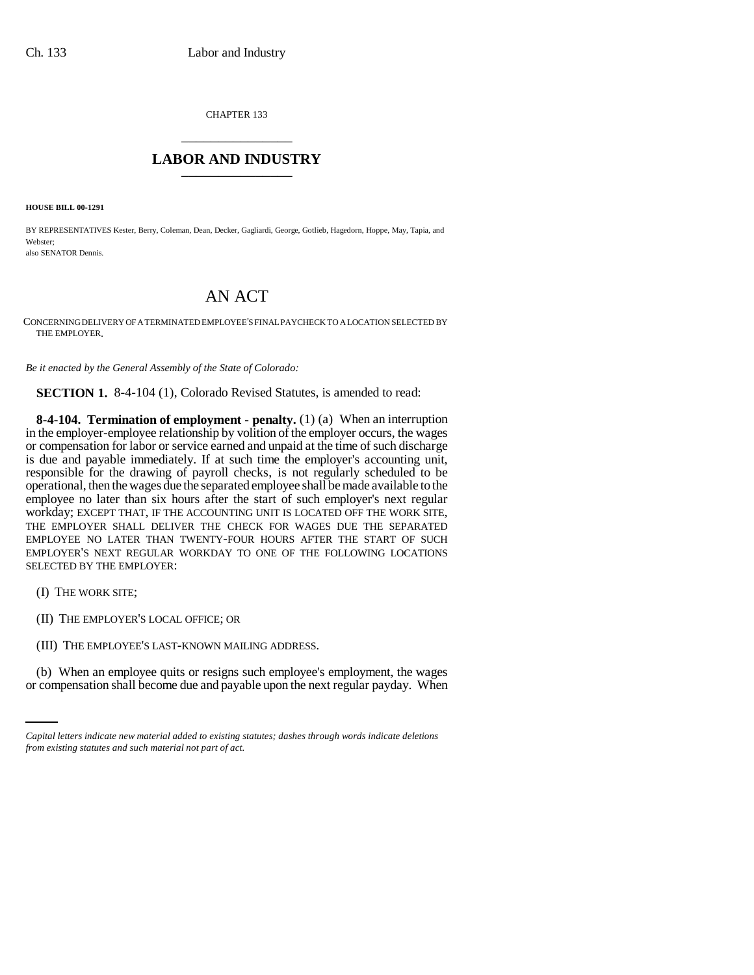CHAPTER 133 \_\_\_\_\_\_\_\_\_\_\_\_\_\_\_

## **LABOR AND INDUSTRY** \_\_\_\_\_\_\_\_\_\_\_\_\_\_\_

**HOUSE BILL 00-1291** 

BY REPRESENTATIVES Kester, Berry, Coleman, Dean, Decker, Gagliardi, George, Gotlieb, Hagedorn, Hoppe, May, Tapia, and Webster; also SENATOR Dennis.

## AN ACT

CONCERNING DELIVERY OF A TERMINATED EMPLOYEE'S FINAL PAYCHECK TO A LOCATION SELECTED BY THE EMPLOYER.

*Be it enacted by the General Assembly of the State of Colorado:*

**SECTION 1.** 8-4-104 (1), Colorado Revised Statutes, is amended to read:

**8-4-104. Termination of employment - penalty.** (1) (a) When an interruption in the employer-employee relationship by volition of the employer occurs, the wages or compensation for labor or service earned and unpaid at the time of such discharge is due and payable immediately. If at such time the employer's accounting unit, responsible for the drawing of payroll checks, is not regularly scheduled to be operational, then the wages due the separated employee shall be made available to the employee no later than six hours after the start of such employer's next regular workday; EXCEPT THAT, IF THE ACCOUNTING UNIT IS LOCATED OFF THE WORK SITE, THE EMPLOYER SHALL DELIVER THE CHECK FOR WAGES DUE THE SEPARATED EMPLOYEE NO LATER THAN TWENTY-FOUR HOURS AFTER THE START OF SUCH EMPLOYER'S NEXT REGULAR WORKDAY TO ONE OF THE FOLLOWING LOCATIONS SELECTED BY THE EMPLOYER:

- (I) THE WORK SITE;
- (II) THE EMPLOYER'S LOCAL OFFICE; OR
- (III) THE EMPLOYEE'S LAST-KNOWN MAILING ADDRESS.

(b) When an employee quits or resigns such employee's employment, the wages or compensation shall become due and payable upon the next regular payday. When

*Capital letters indicate new material added to existing statutes; dashes through words indicate deletions from existing statutes and such material not part of act.*